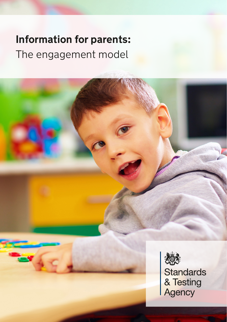# **Information for parents:**  The engagement model

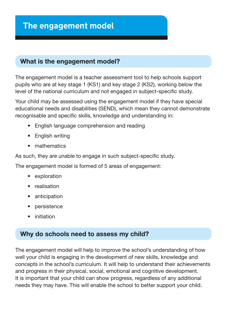# **The engagement model**

#### What is the engagement model?

The engagement model is a teacher assessment tool to help schools support pupils who are at key stage 1 (KS1) and key stage 2 (KS2), working below the level of the national curriculum and not engaged in subject-specifc study.

Your child may be assessed using the engagement model if they have special educational needs and disabilities (SEND), which mean they cannot demonstrate recognisable and specific skills, knowledge and understanding in:

- English language comprehension and reading
- English writing
- mathematics

As such, they are unable to engage in such subject-specific study.

The engagement model is formed of 5 areas of engagement:

- exploration
- realisation
- anticipation
- persistence
- initiation

# Why do schools need to assess my child?

The engagement model will help to improve the school's understanding of how well your child is engaging in the development of new skills, knowledge and concepts in the school's curriculum. It will help to understand their achievements and progress in their physical, social, emotional and cognitive development. It is important that your child can show progress, regardless of any additional needs they may have. This will enable the school to better support your child.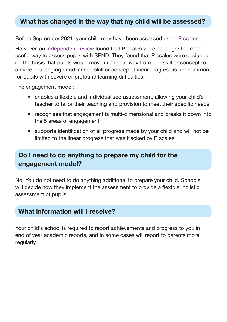#### What has changed in the way that my child will be assessed?

Before September 2021, your child may have been assessed using [P scales.](https://www.gov.uk/government/publications/p-scales-attainment-targets-for-pupils-with-sen)

However, an [independent review](https://www.gov.uk/government/publications/rochford-review-final-report) found that P scales were no longer the most useful way to assess pupils with SEND. They found that P scales were designed on the basis that pupils would move in a linear way from one skill or concept to a more challenging or advanced skill or concept. Linear progress is not common for pupils with severe or profound learning difficulties.

The engagement model:

- enables a flexible and individualised assessment, allowing your child's teacher to tailor their teaching and provision to meet their specific needs
- recognises that engagement is multi-dimensional and breaks it down into the 5 areas of engagement
- supports identifcation of all progress made by your child and will not be limited to the linear progress that was tracked by P scales

# Do I need to do anything to prepare my child for the engagement model?

No. You do not need to do anything additional to prepare your child. Schools will decide how they implement the assessment to provide a flexible, holistic assessment of pupils.

#### What information will I receive?

Your child's school is required to report achievements and progress to you in end of year academic reports, and in some cases will report to parents more regularly.